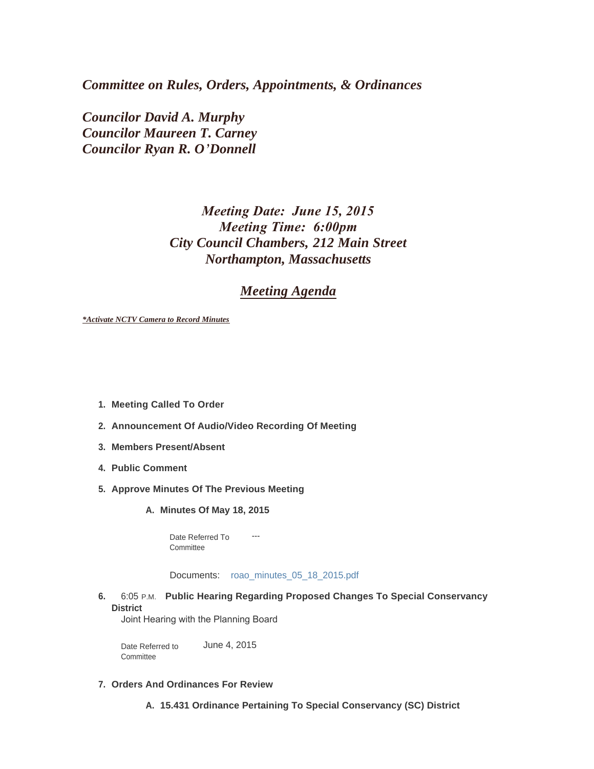*Committee on Rules, Orders, Appointments, & Ordinances*

*Councilor David A. Murphy Councilor Maureen T. Carney Councilor Ryan R. O'Donnell*

## *Meeting Date: June 15, 2015 Meeting Time: 6:00pm City Council Chambers, 212 Main Street Northampton, Massachusetts*

## *Meeting Agenda*

*\*Activate NCTV Camera to Record Minutes*

- **Meeting Called To Order 1.**
- **Announcement Of Audio/Video Recording Of Meeting 2.**
- **Members Present/Absent 3.**
- **Public Comment 4.**
- **Approve Minutes Of The Previous Meeting 5.**
	- **Minutes Of May 18, 2015 A.**

Date Referred To **Committee** 

Documents: [roao\\_minutes\\_05\\_18\\_2015.pdf](http://northamptonma.gov/AgendaCenter/ViewFile/Item/1123?fileID=37079)

---

**6.** 6:05 P.M. Public Hearing Regarding Proposed Changes To Special Conservancy **District** Joint Hearing with the Planning Board

June 4, 2015 Date Referred to **Committee** 

- **Orders And Ordinances For Review 7.**
	- **15.431 Ordinance Pertaining To Special Conservancy (SC) District A.**